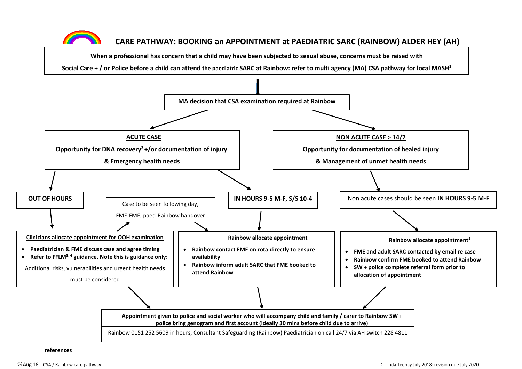

## **CARE PATHWAY: BOOKING an APPOINTMENT at PAEDIATRIC SARC (RAINBOW) ALDER HEY (AH)**

**When a professional has concern that a child may have been subjected to sexual abuse, concerns must be raised with**

**Social Care + / or Police before a child can attend the paediatric SARC at Rainbow: refer to multi agency (MA) CSA pathway for local MASH<sup>1</sup>**



**references**